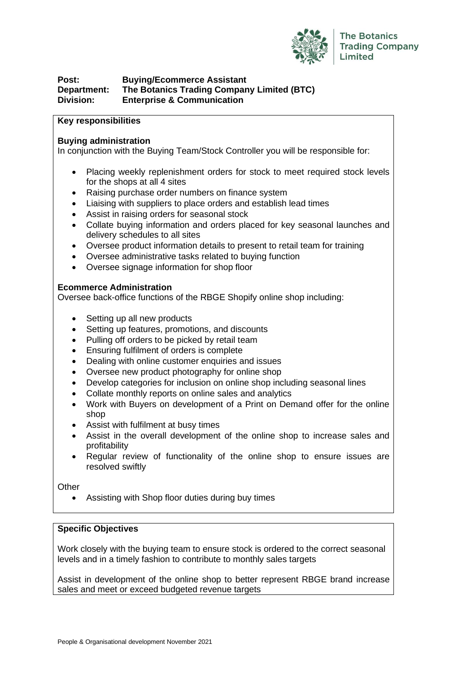

## **Post: Buying/Ecommerce Assistant Department: The Botanics Trading Company Limited (BTC) Division: Enterprise & Communication**

#### **Key responsibilities**

#### **Buying administration**

In conjunction with the Buying Team/Stock Controller you will be responsible for:

- Placing weekly replenishment orders for stock to meet required stock levels for the shops at all 4 sites
- Raising purchase order numbers on finance system
- Liaising with suppliers to place orders and establish lead times
- Assist in raising orders for seasonal stock
- Collate buying information and orders placed for key seasonal launches and delivery schedules to all sites
- Oversee product information details to present to retail team for training
- Oversee administrative tasks related to buying function
- Oversee signage information for shop floor

### **Ecommerce Administration**

Oversee back-office functions of the RBGE Shopify online shop including:

- Setting up all new products
- Setting up features, promotions, and discounts
- Pulling off orders to be picked by retail team
- Ensuring fulfilment of orders is complete
- Dealing with online customer enquiries and issues
- Oversee new product photography for online shop
- Develop categories for inclusion on online shop including seasonal lines
- Collate monthly reports on online sales and analytics
- Work with Buyers on development of a Print on Demand offer for the online shop
- Assist with fulfilment at busy times
- Assist in the overall development of the online shop to increase sales and profitability
- Regular review of functionality of the online shop to ensure issues are resolved swiftly

**Other** 

• Assisting with Shop floor duties during buy times

### **Specific Objectives**

Work closely with the buying team to ensure stock is ordered to the correct seasonal levels and in a timely fashion to contribute to monthly sales targets

Assist in development of the online shop to better represent RBGE brand increase sales and meet or exceed budgeted revenue targets